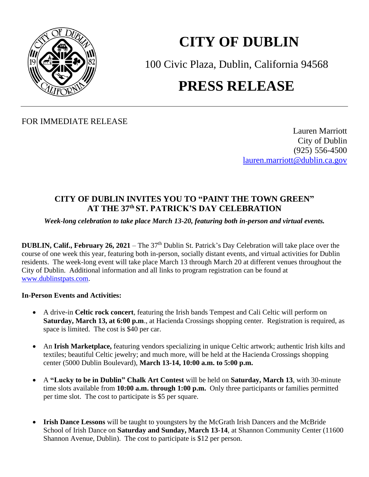

## **CITY OF DUBLIN**

100 Civic Plaza, Dublin, California 94568 **PRESS RELEASE**

FOR IMMEDIATE RELEASE

Lauren Marriott City of Dublin (925) 556-4500 [lauren.marriott@dublin.ca.gov](mailto:lauren.marriott@dublin.ca.gov)

## **CITY OF DUBLIN INVITES YOU TO "PAINT THE TOWN GREEN" AT THE 37 th ST. PATRICK'S DAY CELEBRATION**

*Week-long celebration to take place March 13-20, featuring both in-person and virtual events.*

**DUBLIN, Calif., February 26, 2021** – The 37<sup>th</sup> Dublin St. Patrick's Day Celebration will take place over the course of one week this year, featuring both in-person, socially distant events, and virtual activities for Dublin residents. The week-long event will take place March 13 through March 20 at different venues throughout the City of Dublin. Additional information and all links to program registration can be found at [www.dublinstpats.com.](http://www.dublinstpats.com/)

## **In-Person Events and Activities:**

- A drive-in **Celtic rock concert**, featuring the Irish bands Tempest and Cali Celtic will perform on **Saturday, March 13, at 6:00 p.m**., at Hacienda Crossings shopping center. Registration is required, as space is limited. The cost is \$40 per car.
- An **Irish Marketplace,** featuring vendors specializing in unique Celtic artwork; authentic Irish kilts and textiles; beautiful Celtic jewelry; and much more, will be held at the Hacienda Crossings shopping center (5000 Dublin Boulevard), **March 13-14, 10:00 a.m. to 5:00 p.m.**
- A **"Lucky to be in Dublin" Chalk Art Contest** will be held on **Saturday, March 13**, with 30-minute time slots available from **10:00 a.m. through 1:00 p.m.** Only three participants or families permitted per time slot. The cost to participate is \$5 per square.
- **Irish Dance Lessons** will be taught to youngsters by the McGrath Irish Dancers and the McBride School of Irish Dance on **Saturday and Sunday, March 13-14**, at Shannon Community Center (11600 Shannon Avenue, Dublin). The cost to participate is \$12 per person.